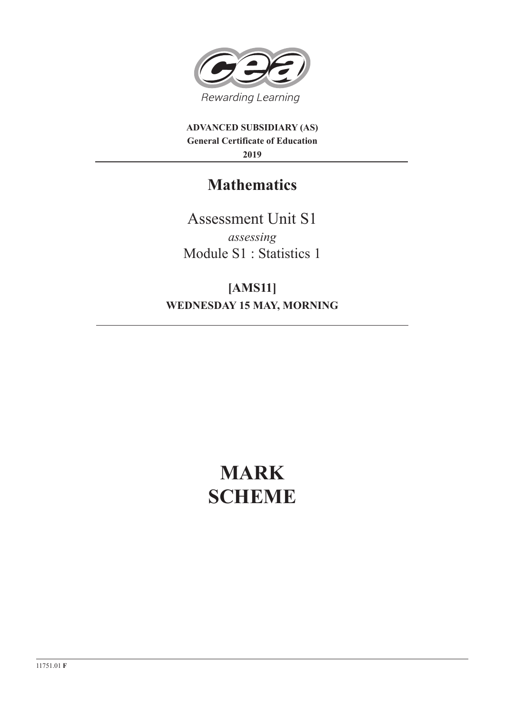

**ADVANCED SUBSIDIARY (AS) General Certificate of Education 2019**

## **Mathematics**

Assessment Unit S1 *assessing* Module S1 : Statistics 1

**[AMS11] WEDNESDAY 15 MAY, MORNING**

# **MARK SCHEME**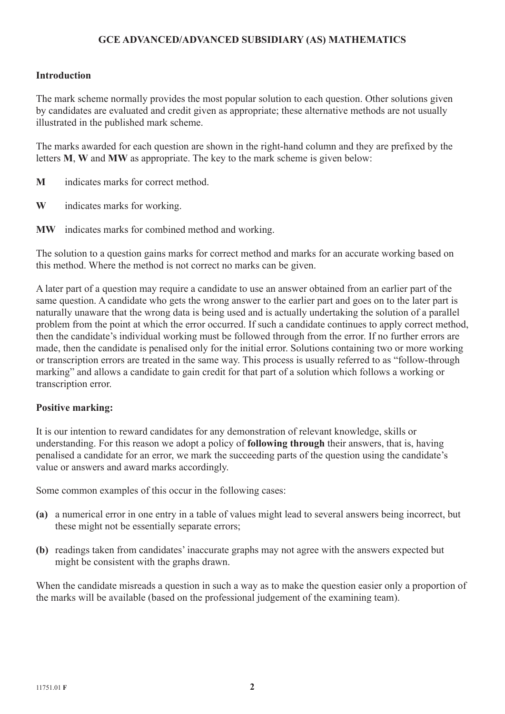### **GCE ADVANCED/ADVANCED SUBSIDIARY (AS) MATHEMATICS**

#### **Introduction**

The mark scheme normally provides the most popular solution to each question. Other solutions given by candidates are evaluated and credit given as appropriate; these alternative methods are not usually illustrated in the published mark scheme.

The marks awarded for each question are shown in the right-hand column and they are prefixed by the letters **M**, **W** and **MW** as appropriate. The key to the mark scheme is given below:

- **M** indicates marks for correct method.
- **W** indicates marks for working.
- **MW** indicates marks for combined method and working.

The solution to a question gains marks for correct method and marks for an accurate working based on this method. Where the method is not correct no marks can be given.

A later part of a question may require a candidate to use an answer obtained from an earlier part of the same question. A candidate who gets the wrong answer to the earlier part and goes on to the later part is naturally unaware that the wrong data is being used and is actually undertaking the solution of a parallel problem from the point at which the error occurred. If such a candidate continues to apply correct method, then the candidate's individual working must be followed through from the error. If no further errors are made, then the candidate is penalised only for the initial error. Solutions containing two or more working or transcription errors are treated in the same way. This process is usually referred to as "follow-through marking" and allows a candidate to gain credit for that part of a solution which follows a working or transcription error.

#### **Positive marking:**

It is our intention to reward candidates for any demonstration of relevant knowledge, skills or understanding. For this reason we adopt a policy of **following through** their answers, that is, having penalised a candidate for an error, we mark the succeeding parts of the question using the candidate's value or answers and award marks accordingly.

Some common examples of this occur in the following cases:

- **(a)** a numerical error in one entry in a table of values might lead to several answers being incorrect, but these might not be essentially separate errors;
- **(b)** readings taken from candidates' inaccurate graphs may not agree with the answers expected but might be consistent with the graphs drawn.

When the candidate misreads a question in such a way as to make the question easier only a proportion of the marks will be available (based on the professional judgement of the examining team).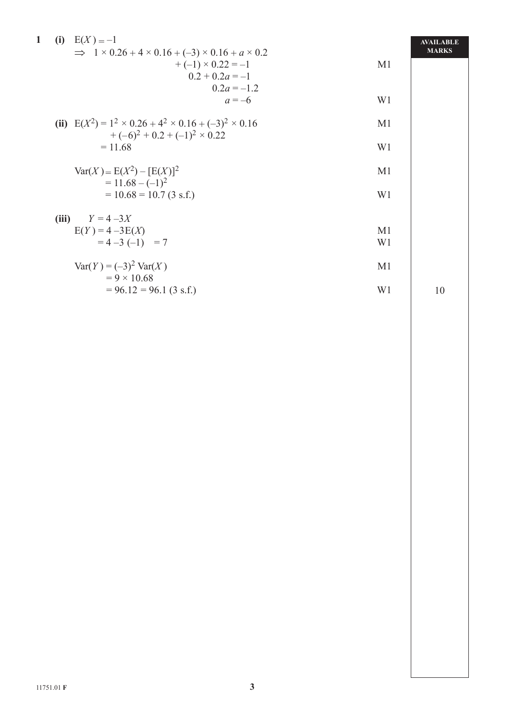| $\mathbf{1}$ | (i) $E(X) = -1$                                                                                                |                                               |                      | <b>AVAILABLE</b> |
|--------------|----------------------------------------------------------------------------------------------------------------|-----------------------------------------------|----------------------|------------------|
|              | $\implies$ 1 × 0.26 + 4 × 0.16 + (-3) × 0.16 + a × 0.2                                                         | $+(-1) \times 0.22 = -1$<br>$0.2 + 0.2a = -1$ | M1                   | <b>MARKS</b>     |
|              |                                                                                                                | $0 \ 2a = -1 \ 2$<br>$a = -6$                 | W1                   |                  |
|              | (ii) $E(X^2) = 1^2 \times 0.26 + 4^2 \times 0.16 + (-3)^2 \times 0.16$<br>$+(-6)^2 + 0.2 + (-1)^2 \times 0.22$ |                                               | M1                   |                  |
|              | $= 11.68$                                                                                                      |                                               | W <sub>1</sub>       |                  |
|              | $Var(X) = E(X^2) - [E(X)]^2$<br>$= 11.68 - (-1)^{2}$                                                           |                                               | M1                   |                  |
|              | $= 10.68 = 10.7 (3 s.f.)$                                                                                      |                                               | W <sub>1</sub>       |                  |
|              | $Y = 4 - 3X$<br>(iii)                                                                                          |                                               |                      |                  |
|              | $E(Y) = 4 - 3E(X)$<br>$= 4 - 3(-1) = 7$                                                                        |                                               | M <sub>1</sub><br>W1 |                  |
|              | $Var(Y) = (-3)^2 Var(X)$<br>$= 9 \times 10.68$                                                                 |                                               | M1                   |                  |
|              | $= 96.12 = 96.1 (3 s.f.)$                                                                                      |                                               | W1                   | 10               |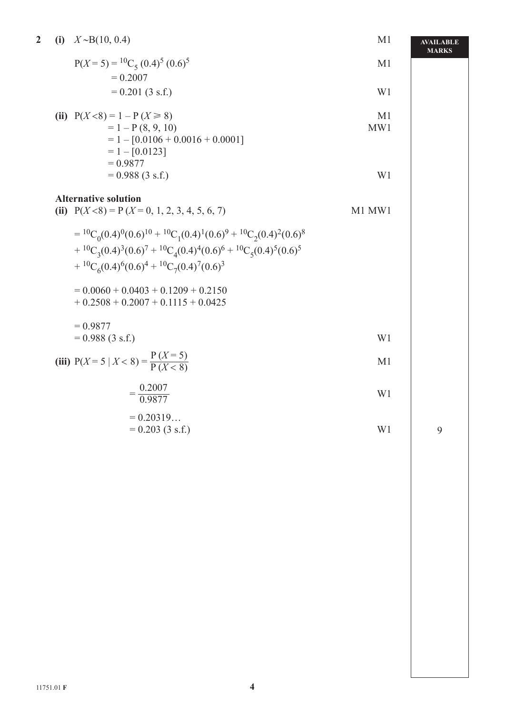| $\overline{\mathbf{2}}$ | (i) | $X \sim B(10, 0.4)$                                                                                         | M <sub>1</sub>        | <b>AVAILABLE</b><br><b>MARKS</b> |
|-------------------------|-----|-------------------------------------------------------------------------------------------------------------|-----------------------|----------------------------------|
|                         |     | $P(X = 5) = {}^{10}C_5 (0.4)^5 (0.6)^5$<br>$= 0.2007$                                                       | M <sub>1</sub>        |                                  |
|                         |     | $= 0.201 (3 s.f.)$                                                                                          | W <sub>1</sub>        |                                  |
|                         |     | (ii) $P(X < 8) = 1 - P(X \ge 8)$<br>$= 1 - P(8, 9, 10)$                                                     | M <sub>1</sub><br>MW1 |                                  |
|                         |     | $= 1 - [0.0106 + 0.0016 + 0.0001]$<br>$= 1 - [0.0123]$<br>$= 0.9877$                                        |                       |                                  |
|                         |     | $= 0.988 (3 s.f.)$                                                                                          | W <sub>1</sub>        |                                  |
|                         |     | <b>Alternative solution</b><br>(ii) $P(X < 8) = P(X = 0, 1, 2, 3, 4, 5, 6, 7)$                              | M1 MW1                |                                  |
|                         |     | $= {}^{10}C_0(0.4){}^{0}(0.6){}^{10} + {}^{10}C_1(0.4){}^{1}(0.6){}^{9} + {}^{10}C_2(0.4){}^{2}(0.6){}^{8}$ |                       |                                  |
|                         |     | + ${}^{10}C_3(0.4)^3(0.6)^7$ + ${}^{10}C_4(0.4)^4(0.6)^6$ + ${}^{10}C_5(0.4)^5(0.6)^5$                      |                       |                                  |
|                         |     | + ${}^{10}C_6(0.4)^6(0.6)^4$ + ${}^{10}C_7(0.4)^7(0.6)^3$                                                   |                       |                                  |
|                         |     | $= 0.0060 + 0.0403 + 0.1209 + 0.2150$<br>$+0.2508 + 0.2007 + 0.1115 + 0.0425$                               |                       |                                  |
|                         |     | $= 0.9877$<br>$= 0.988 (3 s.f.)$                                                                            | W1                    |                                  |
|                         |     | (iii) $P(X = 5   X < 8) = \frac{P(X = 5)}{P(X < 8)}$                                                        | M <sub>1</sub>        |                                  |
|                         |     | $=\frac{0.2007}{0.9877}$                                                                                    | W1                    |                                  |
|                         |     | $= 0.20319$<br>$= 0.203$ (3 s.f.)                                                                           | W1                    | $\mathbf{9}$                     |
|                         |     |                                                                                                             |                       |                                  |
|                         |     |                                                                                                             |                       |                                  |
|                         |     |                                                                                                             |                       |                                  |
|                         |     |                                                                                                             |                       |                                  |
|                         |     |                                                                                                             |                       |                                  |
|                         |     |                                                                                                             |                       |                                  |
|                         |     |                                                                                                             |                       |                                  |
|                         |     |                                                                                                             |                       |                                  |
|                         |     |                                                                                                             |                       |                                  |
|                         |     |                                                                                                             |                       |                                  |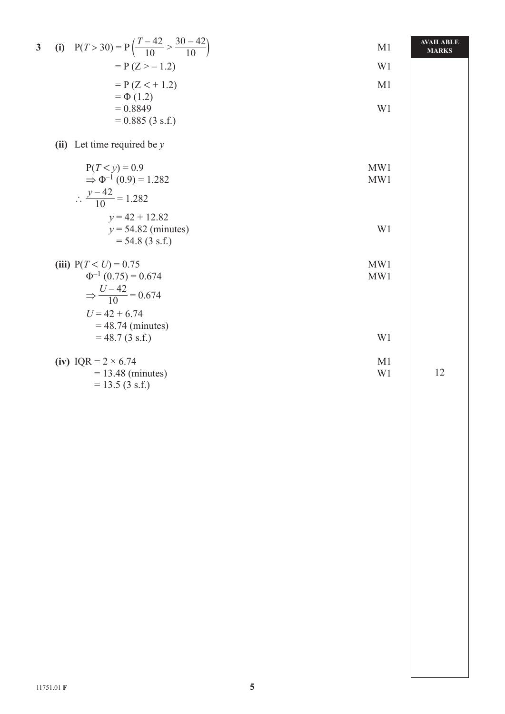| $\overline{\mathbf{3}}$ | (i) $P(T > 30) = P\left(\frac{T-42}{10} > \frac{30-42}{10}\right)$ | M1                   | <b>AVAILABLE</b><br><b>MARKS</b> |
|-------------------------|--------------------------------------------------------------------|----------------------|----------------------------------|
|                         | $= P(Z > -1.2)$                                                    | W1                   |                                  |
|                         | $= P (Z < +1.2)$                                                   | M1                   |                                  |
|                         | $= \Phi(1.2)$<br>$= 0.8849$                                        | W1                   |                                  |
|                         | $= 0.885(3 s.f.)$                                                  |                      |                                  |
|                         | (ii) Let time required be $y$                                      |                      |                                  |
|                         | $P(T < y) = 0.9$                                                   | MW1                  |                                  |
|                         | $\Rightarrow \Phi^{-1}(0.9) = 1.282$                               | MW1                  |                                  |
|                         | $\therefore \frac{y-42}{10} = 1.282$                               |                      |                                  |
|                         | $v = 42 + 12.82$                                                   |                      |                                  |
|                         | $y = 54.82$ (minutes)<br>$= 54.8 (3 s.f.)$                         | W1                   |                                  |
|                         |                                                                    |                      |                                  |
|                         | (iii) $P(T < U) = 0.75$<br>$\Phi^{-1}(0.75) = 0.674$               | MW1                  |                                  |
|                         |                                                                    | MW1                  |                                  |
|                         | $\Rightarrow \frac{U-42}{10} = 0.674$                              |                      |                                  |
|                         | $U = 42 + 6.74$                                                    |                      |                                  |
|                         | $= 48.74$ (minutes)<br>$= 48.7 (3 s.f.)$                           | W1                   |                                  |
|                         |                                                                    |                      |                                  |
|                         | (iv) $IQR = 2 \times 6.74$<br>$= 13.48$ (minutes)                  | M <sub>1</sub><br>W1 | 12                               |
|                         | $= 13.5 (3 s.f.)$                                                  |                      |                                  |
|                         |                                                                    |                      |                                  |
|                         |                                                                    |                      |                                  |
|                         |                                                                    |                      |                                  |
|                         |                                                                    |                      |                                  |
|                         |                                                                    |                      |                                  |
|                         |                                                                    |                      |                                  |
|                         |                                                                    |                      |                                  |
|                         |                                                                    |                      |                                  |
|                         |                                                                    |                      |                                  |
|                         |                                                                    |                      |                                  |
|                         |                                                                    |                      |                                  |
|                         |                                                                    |                      |                                  |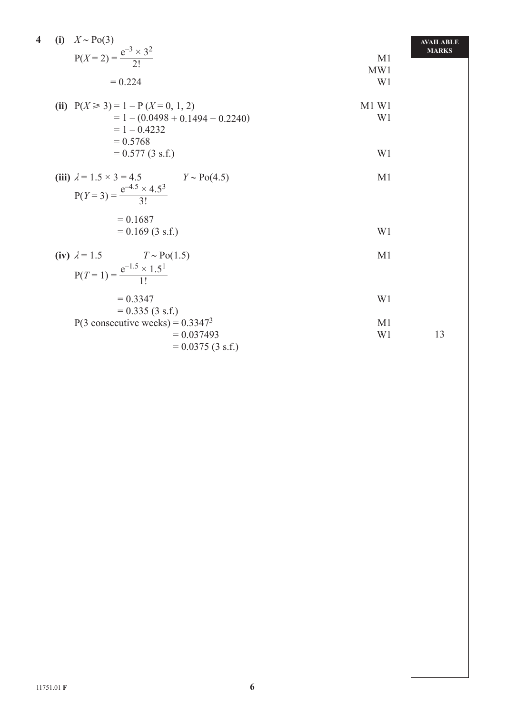| $\overline{\mathbf{4}}$<br>(i) $X \sim \text{Po}(3)$<br>$P(X = 2) = \frac{e^{-3} \times 3^2}{2!}$<br>$= 0.224$ | M <sub>1</sub><br>MW1<br>W <sub>1</sub> | <b>AVAILABLE</b><br><b>MARKS</b> |
|----------------------------------------------------------------------------------------------------------------|-----------------------------------------|----------------------------------|
| (ii) $P(X \ge 3) = 1 - P(X = 0, 1, 2)$<br>$= 1 - (0.0498 + 0.1494 + 0.2240)$<br>$= 1 - 0.4232$<br>$= 0.5768$   | $M1$ W1<br>W <sub>1</sub>               |                                  |
| $= 0.577(3 s.f.)$<br>(iii) $\lambda = 1.5 \times 3 = 4.5$<br>$Y \sim Po(4.5)$                                  | W1<br>M <sub>1</sub>                    |                                  |
| $P(Y=3) = \frac{e^{-4.5} \times 4.5^3}{3!}$<br>$= 0.1687$<br>$= 0.169$ (3 s.f.)                                | W <sub>1</sub>                          |                                  |
| (iv) $\lambda = 1.5$ $T \sim Po(1.5)$<br>$P(T=1) = \frac{e^{-1.5} \times 1.5^1}{11}$                           | M1                                      |                                  |
| $= 0.3347$<br>$= 0.335 (3 s.f.)$<br>P(3 consecutive weeks) = $0.3347^3$                                        | W1<br>M1                                |                                  |
| $= 0.037493$<br>$= 0.0375 (3 s.f.)$                                                                            | W <sub>1</sub>                          | 13                               |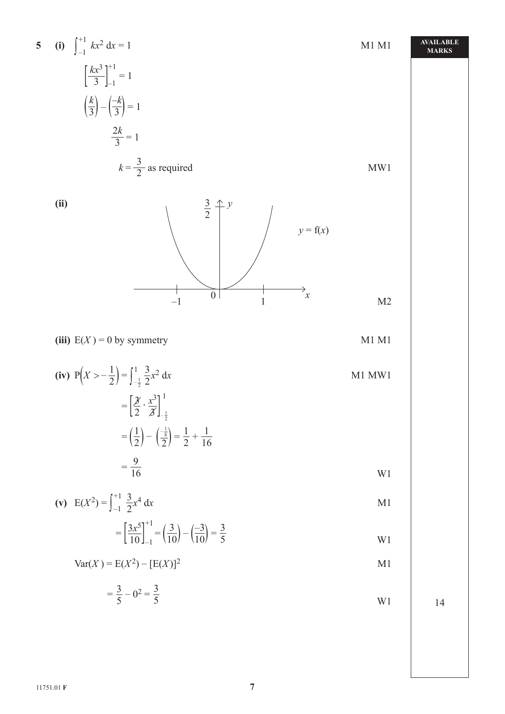5 (i) 
$$
\int_{-1}^{+1} kx^2 dx = 1
$$
  
\n $\left[\frac{kx^3}{3}\right]_{-1}^{+1} = 1$   
\n $\left(\frac{k}{3}\right) - \left(\frac{-k}{3}\right) = 1$   
\n $\frac{2k}{3} = 1$   
\n $k = \frac{3}{2}$  as required  
\n(iii)  
\n(ii)  
\n $\frac{3}{2} + y$   
\n $y = f(x)$   
\n(iii)  
\n $y = f(x)$   
\n $y = f(x)$   
\n $y = f(x)$   
\n $y = f(x)$   
\n $y = f(x)$   
\n $y = f(x)$   
\n $y = f(x)$   
\n $y = f(x)$   
\n $y = f(x)$   
\n $y = f(x)$   
\n $y = f(x)$   
\n $y = f(x)$   
\n $y = f(x)$   
\n $y = f(x)$   
\n $y = f(x)$   
\n $y = f(x)$   
\n $y = f(x)$   
\n $y = f(x)$   
\n $y = f(x)$   
\n $y = f(x)$   
\n $y = f(x)$   
\n $y = f(x)$   
\n $y = f(x)$   
\n $y = f(x)$   
\n $y = f(x)$   
\n $y = f(x)$   
\n $y = f(x)$   
\n $y = f(x)$   
\n $y = f(x)$   
\n $y = f(x)$   
\n $y = f(x)$   
\n $y = f(x)$   
\n $y = f(x)$   
\n $y = f(x)$   
\n $y = f(x)$   
\n $y = f(x)$   
\n $y = f(x)$   
\n $y = f(x)$   
\n $y = f(x)$   
\n $y = f(x)$   
\n $y = f(x)$   
\n $y = f(x)$   
\n $y = f(x)$   
\n $y = f(x)$   
\n $y = f(x)$   
\n $y = f(x)$   
\n $y = f(x)$   
\n $y = f(x)$   
\n $y = f(x)$   
\

11751.01 **F 7**